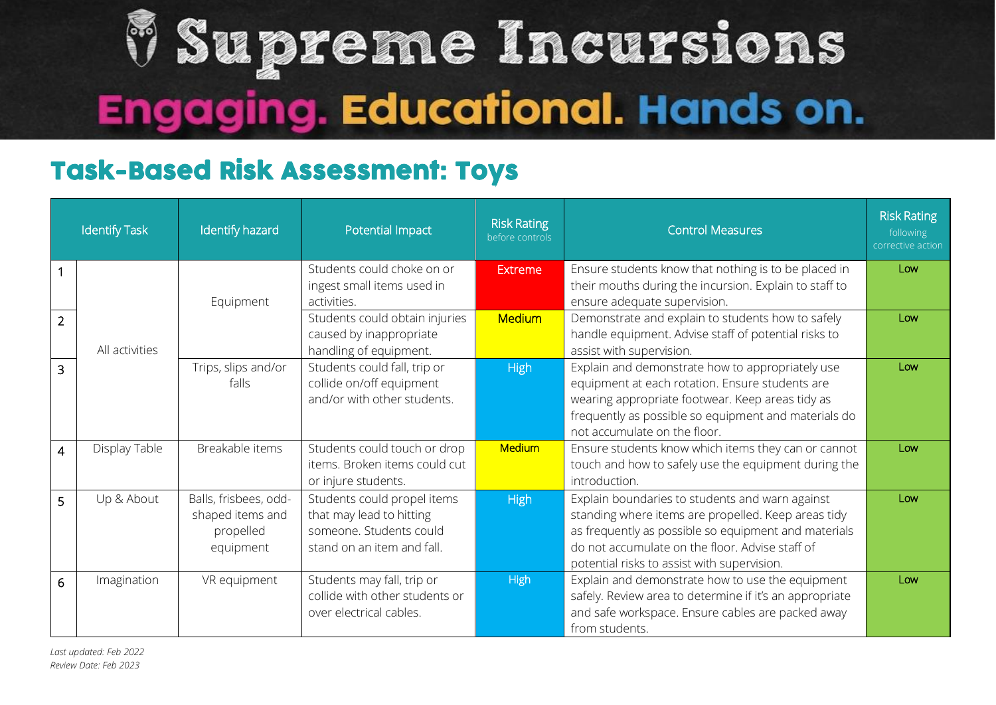## V Supreme Incursions **Engaging. Educational. Hands on.**

## Task-Based Risk Assessment: Toys

| <b>Identify Task</b> |                | Identify hazard                                                     | Potential Impact                                                                                                 | <b>Risk Rating</b><br>before controls | <b>Control Measures</b>                                                                                                                                                                                                                                          | <b>Risk Rating</b><br>following<br>corrective action |
|----------------------|----------------|---------------------------------------------------------------------|------------------------------------------------------------------------------------------------------------------|---------------------------------------|------------------------------------------------------------------------------------------------------------------------------------------------------------------------------------------------------------------------------------------------------------------|------------------------------------------------------|
| $\overline{1}$       |                | Equipment                                                           | Students could choke on or<br>ingest small items used in<br>activities.                                          | Extreme                               | Ensure students know that nothing is to be placed in<br>their mouths during the incursion. Explain to staff to<br>ensure adequate supervision.                                                                                                                   | Low                                                  |
| $\overline{2}$       | All activities |                                                                     | Students could obtain injuries<br>caused by inappropriate<br>handling of equipment.                              | <b>Medium</b>                         | Demonstrate and explain to students how to safely<br>handle equipment. Advise staff of potential risks to<br>assist with supervision.                                                                                                                            | Low                                                  |
| $\overline{3}$       |                | Trips, slips and/or<br>falls                                        | Students could fall, trip or<br>collide on/off equipment<br>and/or with other students.                          | <b>High</b>                           | Explain and demonstrate how to appropriately use<br>equipment at each rotation. Ensure students are<br>wearing appropriate footwear. Keep areas tidy as<br>frequently as possible so equipment and materials do<br>not accumulate on the floor.                  | Low                                                  |
| $\overline{4}$       | Display Table  | Breakable items                                                     | Students could touch or drop<br>items. Broken items could cut<br>or injure students.                             | <b>Medium</b>                         | Ensure students know which items they can or cannot<br>touch and how to safely use the equipment during the<br>introduction.                                                                                                                                     | Low                                                  |
| 5                    | Up & About     | Balls, frisbees, odd-<br>shaped items and<br>propelled<br>equipment | Students could propel items<br>that may lead to hitting<br>someone. Students could<br>stand on an item and fall. | <b>High</b>                           | Explain boundaries to students and warn against<br>standing where items are propelled. Keep areas tidy<br>as frequently as possible so equipment and materials<br>do not accumulate on the floor. Advise staff of<br>potential risks to assist with supervision. | Low                                                  |
| 6                    | Imagination    | VR equipment                                                        | Students may fall, trip or<br>collide with other students or<br>over electrical cables.                          | <b>High</b>                           | Explain and demonstrate how to use the equipment<br>safely. Review area to determine if it's an appropriate<br>and safe workspace. Ensure cables are packed away<br>from students.                                                                               | Low                                                  |